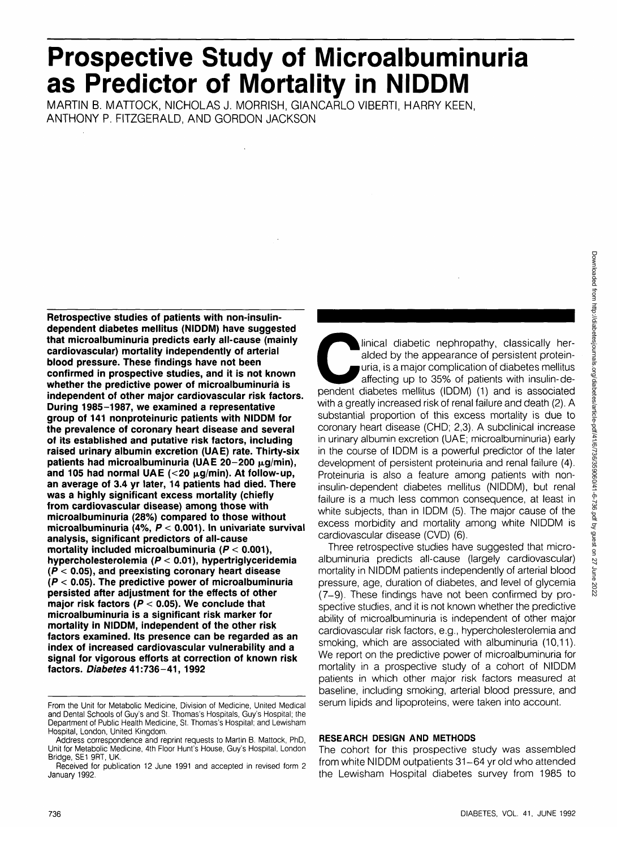# **Prospective Study of Microalbuminuria as Predictor of Mortality in NIDDM**

MARTIN B. MATTOCK, NICHOLAS J. MORRISH, GIANCARLO VIBERTI, HARRY KEEN, ANTHONY P. FITZGERALD, AND GORDON JACKSON

**Retrospective studies of patients with non-insulindependent diabetes mellitus (NIDDM) have suggested that microalbuminuria predicts early all-cause (mainly cardiovascular) mortality independently of arterial blood pressure. These findings have not been confirmed in prospective studies, and it is not known whether the predictive power of microalbuminuria is independent of other major cardiovascular risk factors. During 1985-1987, we examined a representative group of 141 nonproteinuric patients with NIDDM for the prevalence of coronary heart disease and several of its established and putative risk factors, including raised urinary albumin excretion (UAE) rate. Thirty-six** patients had microalbuminuria (UAE 20-200 μg/min), and 105 had normal UAE  $\left($  < 20  $\mu$ g/min). At follow-up, **an average of 3.4 yr later, 14 patients had died. There was a highly significant excess mortality (chiefly from cardiovascular disease) among those with microalbuminuria (28%) compared to those without microalbuminuria (4%, P < 0.001). In univariate survival analysis, significant predictors of all-cause mortality included microalbuminuria (P < 0.001), hypercholesterolemia (P < 0.01), hypertriglyceridemia (P < 0.05), and preexisting coronary heart disease (P < 0.05). The predictive power of microalbuminuria persisted after adjustment for the effects of other major risk factors (P < 0.05). We conclude that microalbuminuria is a significant risk marker for mortality in NIDDM, independent of the other risk factors examined. Its presence can be regarded as an index of increased cardiovascular vulnerability and a signal for vigorous efforts at correction of known risk factors. Diabetes 41:736-41,1992**

Inical diabetic nephropathy, classically heralded by the appearance of persistent protein-<br>uria, is a major complication of diabetes mellitus<br>affecting up to 35% of patients with insulin-de-<br>pendent diabetes mellitus (IDDM alded by the appearance of persistent proteinuria, is a major complication of diabetes mellitus affecting up to 35% of patients with insulin-dewith a greatly increased risk of renal failure and death (2). A substantial proportion of this excess mortality is due to coronary heart disease (CHD; 2,3). A subclinical increase in urinary albumin excretion (UAE; microalbuminuria) early in the course of IDDM is a powerful predictor of the later development of persistent proteinuria and renal failure (4). Proteinuria is also a feature among patients with noninsulin-dependent diabetes mellitus (NIDDM), but renal failure is a much less common consequence, at least in white subjects, than in IDDM (5). The major cause of the excess morbidity and mortality among white NIDDM is cardiovascular disease (CVD) (6).

Three retrospective studies have suggested that microalbuminuria predicts all-cause (largely cardiovascular) mortality in NIDDM patients independently of arterial blood pressure, age, duration of diabetes, and level of glycemia (7-9). These findings have not been confirmed by prospective studies, and it is not known whether the predictive ability of microalbuminuria is independent of other major cardiovascular risk factors, e.g., hypercholesterolemia and smoking, which are associated with albuminuria (10,11). We report on the predictive power of microalbuminuria for mortality in a prospective study of a cohort of NIDDM patients in which other major risk factors measured at baseline, including smoking, arterial blood pressure, and serum lipids and lipoproteins, were taken into account.

## **RESEARCH DESIGN AND METHODS**

The cohort for this prospective study was assembled from white NIDDM outpatients 31-64 yr old who attended the Lewisham Hospital diabetes survey from 1985 to

From the Unit for Metabolic Medicine, Division of Medicine, United Medical and Dental Schools of Guy's and St. Thomas's Hospitals, Guy's Hospital; the Department of Public Health Medicine, St. Thomas's Hospital; and Lewisham Hospital, London, United Kingdom.

Address correspondence and reprint requests to Martin B. Mattock, PhD, Unit for Metabolic Medicine, 4th Floor Hunt's House, Guy's Hospital, London Bridge, SE1 9RT, UK.

Received for publication 12 June 1991 and accepted in revised form 2 January 1992.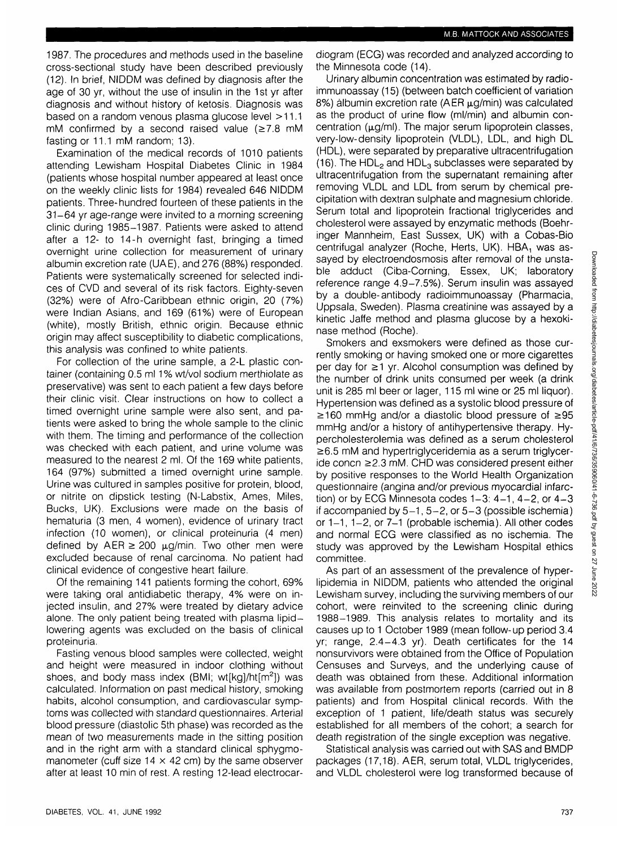1987. The procedures and methods used in the baseline cross-sectional study have been described previously (12). In brief, NIDDM was defined by diagnosis after the age of 30 yr, without the use of insulin in the 1st yr after diagnosis and without history of ketosis. Diagnosis was based on a random venous plasma glucose level >11.1 mM confirmed by a second raised value  $(\geq 7.8 \text{ mM})$ fasting or 11.1 mM random; 13).

Examination of the medical records of 1010 patients attending Lewisham Hospital Diabetes Clinic in 1984 (patients whose hospital number appeared at least once on the weekly clinic lists for 1984) revealed 646 NIDDM patients. Three-hundred fourteen of these patients in the 31-64 yr age-range were invited to a morning screening clinic during 1985-1987. Patients were asked to attend after a 12- to 14-h overnight fast, bringing a timed overnight urine collection for measurement of urinary albumin excretion rate (UAE), and 276 (88%) responded. Patients were systematically screened for selected indices of CVD and several of its risk factors. Eighty-seven (32%) were of Afro-Caribbean ethnic origin, 20 (7%) were Indian Asians, and 169 (61%) were of European (white), mostly British, ethnic origin. Because ethnic origin may affect susceptibility to diabetic complications, this analysis was confined to white patients.

For collection of the urine sample, a 2-L plastic container (containing 0.5 ml 1% wt/vol sodium merthiolate as preservative) was sent to each patient a few days before their clinic visit. Clear instructions on how to collect a timed overnight urine sample were also sent, and patients were asked to bring the whole sample to the clinic with them. The timing and performance of the collection was checked with each patient, and urine volume was measured to the nearest 2 ml. Of the 169 white patients, 164 (97%) submitted a timed overnight urine sample. Urine was cultured in samples positive for protein, blood, or nitrite on dipstick testing (N-Labstix, Ames, Miles, Bucks, UK). Exclusions were made on the basis of hematuria (3 men, 4 women), evidence of urinary tract infection (10 women), or clinical proteinuria (4 men) defined by AER  $\geq$  200  $\mu$ g/min. Two other men were excluded because of renal carcinoma. No patient had clinical evidence of congestive heart failure.

Of the remaining 141 patients forming the cohort, 69% were taking oral antidiabetic therapy, 4% were on injected insulin, and 27% were treated by dietary advice alone. The only patient being treated with plasma lipidlowering agents was excluded on the basis of clinical proteinuria.

Fasting venous blood samples were collected, weight and height were measured in indoor clothing without shoes, and body mass index (BMI; wt[kg]/ht[m<sup>2</sup>]) was calculated. Information on past medical history, smoking habits, alcohol consumption, and cardiovascular symptoms was collected with standard questionnaires. Arterial blood pressure (diastolic 5th phase) was recorded as the mean of two measurements made in the sitting position and in the right arm with a standard clinical sphygmomanometer (cuff size  $14 \times 42$  cm) by the same observer after at least 10 min of rest. A resting 12-lead electrocardiogram (ECG) was recorded and analyzed according to the Minnesota code (14).

Urinary albumin concentration was estimated by radioimmunoassay (15) (between batch coefficient of variation 8%) albumin excretion rate (AER  $\mu$ g/min) was calculated as the product of urine flow (ml/min) and albumin concentration  $(\mu q/ml)$ . The major serum lipoprotein classes, very-low-density lipoprotein (VLDL), LDL, and high DL (HDL), were separated by preparative ultracentrifugation (16). The HDL<sub>2</sub> and HDL<sub>3</sub> subclasses were separated by ultracentrifugation from the supernatant remaining after removing VLDL and LDL from serum by chemical precipitation with dextran sulphate and magnesium chloride. Serum total and lipoprotein fractional triglycerides and cholesterol were assayed by enzymatic methods (Boehringer Mannheim, East Sussex, UK) with a Cobas-Bio centrifugal analyzer (Roche, Herts, UK).  $HBA_1$  was assayed by electroendosmosis after removal of the unstable adduct (Ciba-Corning, Essex, UK; laboratory reference range 4.9-7.5%). Serum insulin was assayed by a double-antibody radioimmunoassay (Pharmacia, Uppsala, Sweden). Plasma creatinine was assayed by a kinetic Jaffe method and plasma glucose by a hexokinase method (Roche).

Smokers and exsmokers were defined as those currently smoking or having smoked one or more cigarettes per day for  $\geq 1$  yr. Alcohol consumption was defined by the number of drink units consumed per week (a drink unit is 285 ml beer or lager, 115 ml wine or 25 ml liquor). Hypertension was defined as a systolic blood pressure of  $\geq$ 160 mmHg and/or a diastolic blood pressure of  $\geq$ 95 mmHg and/or a history of antihypertensive therapy. Hypercholesterolemia was defined as a serum cholesterol  $\geq$  6.5 mM and hypertriglyceridemia as a serum triglycer $ide$  concn  $\geq$  2.3 mM. CHD was considered present either by positive responses to the World Health Organization questionnaire (angina and/or previous myocardial infarction) or by ECG Minnesota codes  $1-3: 4-1$ ,  $4-2$ , or  $4-3$ if accompanied by  $5-1$ ,  $5-2$ , or  $5-3$  (possible ischemia) or  $1-1$ ,  $1-2$ , or  $7-1$  (probable ischemia). All other codes and normal ECG were classified as no ischemia. The study was approved by the Lewisham Hospital ethics committee.

As part of an assessment of the prevalence of hyperlipidemia in NIDDM, patients who attended the original Lewisham survey, including the surviving members of our cohort, were reinvited to the screening clinic during 1988-1989. This analysis relates to mortality and its causes up to 1 October 1989 (mean follow-up period 3.4 yr; range, 2.4-4.3 yr). Death certificates for the 14 nonsurvivors were obtained from the Office of Population Censuses and Surveys, and the underlying cause of death was obtained from these. Additional information was available from postmortem reports (carried out in 8 patients) and from Hospital clinical records. With the exception of 1 patient, life/death status was securely established for all members of the cohort; a search for death registration of the single exception was negative.

Statistical analysis was carried out with SAS and BMDP packages (17,18). AER, serum total, VLDL triglycerides, and VLDL cholesterol were log transformed because of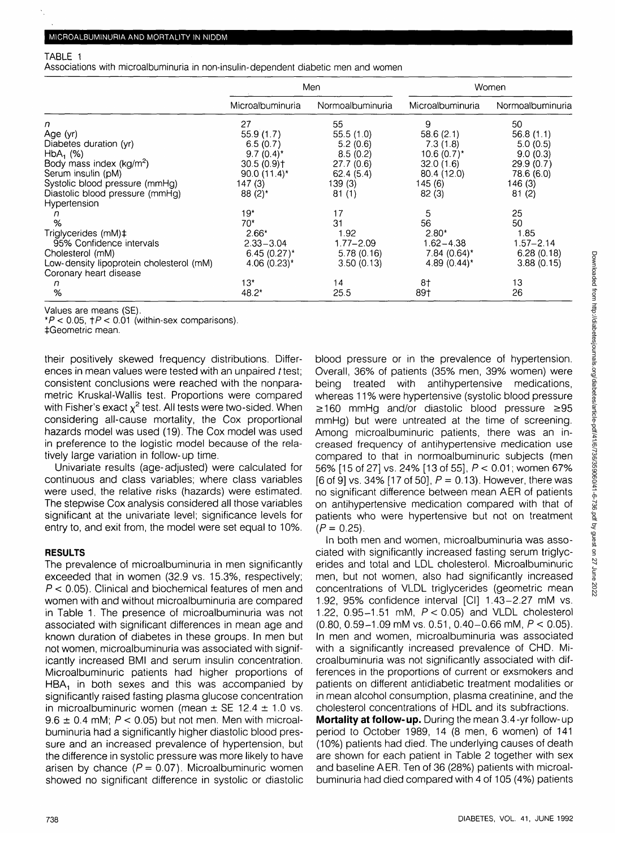#### TABLE 1

Associations with microalbuminuria in non-insulin-dependent diabetic men and women

|                                          | Men                        |                  | Women            |                  |
|------------------------------------------|----------------------------|------------------|------------------|------------------|
|                                          | Microalbuminuria           | Normoalbuminuria | Microalbuminuria | Normoalbuminuria |
| n                                        | 27                         | 55               | 9                | 50               |
| Age (yr)                                 | 55.9(1.7)                  | 55.5(1.0)        | 58.6(2.1)        | 56.8(1.1)        |
| Diabetes duration (yr)                   | 6.5(0.7)                   | 5.2(0.6)         | 7.3(1.8)         | 5.0(0.5)         |
| $HbA_1$ (%)                              | $9.7(0.4)^*$               | 8.5(0.2)         | 10.6 $(0.7)^*$   | 9.0(0.3)         |
| Body mass index (kg/m <sup>2</sup> )     | 30.5(0.9)                  | 27.7(0.6)        | 32.0(1.6)        | 29.9(0.7)        |
| Serum insulin (pM)                       | 90.0 $(11.4)^*$            | 62.4(5.4)        | 80.4 (12.0)      | 78.6 (6.0)       |
| Systolic blood pressure (mmHg)           | 147(3)                     | 139 (3)          | 145 (6)          | 146(3)           |
| Diastolic blood pressure (mmHg)          | $88(2)$ *                  | 81(1)            | 82(3)            | 81(2)            |
| Hypertension                             |                            |                  |                  |                  |
|                                          | $19*$                      | 17               | 5                | 25               |
| %                                        | $70*$                      | 31               | 56               | 50               |
| Triglycerides (mM)‡                      | $2.66*$                    | 1.92             | $2.80*$          | 1.85             |
| 95% Confidence intervals                 | $2.33 - 3.04$              | $1.77 - 2.09$    | $1.62 - 4.38$    | 1.57-2.14        |
| Cholesterol (mM)                         | $6.45(0.27)^*$             | 5.78(0.16)       | $7.84~(0.64)$ *  | 6.28(0.18)       |
| Low-density lipoprotein cholesterol (mM) | 4.06 $(0.23)$ <sup>*</sup> | 3.50(0.13)       | 4.89 $(0.44)^*$  | 3.88(0.15)       |
| Coronary heart disease                   |                            |                  |                  |                  |
| n                                        | $13*$                      | 14               | 8†               | 13               |
| %                                        | $48.2*$                    | 25.5             | 89†              | 26               |

Values are means (SE).

 $*P$  < 0.05,  $\uparrow$  P < 0.01 (within-sex comparisons).

^Geometric mean.

their positively skewed frequency distributions. Differences in mean values were tested with an unpaired t test; consistent conclusions were reached with the nonparametric Kruskal-Wallis test. Proportions were compared with Fisher's exact  $\chi^2$  test. All tests were two-sided. When considering all-cause mortality, the Cox proportional hazards model was used (19). The Cox model was used in preference to the logistic model because of the relatively large variation in follow-up time.

Univariate results (age-adjusted) were calculated for continuous and class variables; where class variables were used, the relative risks (hazards) were estimated. The stepwise Cox analysis considered all those variables significant at the univariate level; significance levels for entry to, and exit from, the model were set equal to 10%.

#### **RESULTS**

The prevalence of microalbuminuria in men significantly exceeded that in women (32.9 vs. 15.3%, respectively;  $P < 0.05$ ). Clinical and biochemical features of men and women with and without microalbuminuria are compared in Table 1. The presence of microalbuminuria was not associated with significant differences in mean age and known duration of diabetes in these groups. In men but not women, microalbuminuria was associated with significantly increased BMI and serum insulin concentration. Microalbuminuric patients had higher proportions of  $HBA<sub>1</sub>$  in both sexes and this was accompanied by significantly raised fasting plasma glucose concentration in microalbuminuric women (mean  $\pm$  SE 12.4  $\pm$  1.0 vs.  $9.6 \pm 0.4$  mM;  $P < 0.05$ ) but not men. Men with microalbuminuria had a significantly higher diastolic blood pressure and an increased prevalence of hypertension, but the difference in systolic pressure was more likely to have arisen by chance ( $P = 0.07$ ). Microalbuminuric women showed no significant difference in systolic or diastolic blood pressure or in the prevalence of hypertension. Overall, 36% of patients (35% men, 39% women) were being treated with antihypertensive medications, whereas 11% were hypertensive (systolic blood pressure  $\geq$ 160 mmHg and/or diastolic blood pressure  $\geq$ 95 mmHg) but were untreated at the time of screening. Among microalbuminuric patients, there was an increased frequency of antihypertensive medication use compared to that in normoalbuminuric subjects (men 56% [15 of 27] vs. 24% [13 of 55], P < 0.01; women 67% [6 of 9] vs. 34% [17 of 50],  $P = 0.13$ ]. However, there was no significant difference between mean AER of patients on antihypertensive medication compared with that of patients who were hypertensive but not on treatment  $(P=0.25)$ .

In both men and women, microalbuminuria was associated with significantly increased fasting serum triglycerides and total and LDL cholesterol. Microalbuminuric men, but not women, also had significantly increased concentrations of VLDL triglycerides (geometric mean 1.92, 95% confidence interval [Cl] 1.43-2.27 mM vs. 1.22, 0.95-1.51 mM, P < 0.05) and VLDL cholesterol  $(0.80, 0.59 - 1.09 \text{ mM vs. } 0.51, 0.40 - 0.66 \text{ mM}, P < 0.05)$ . In men and women, microalbuminuria was associated with a significantly increased prevalence of CHD. Microalbuminuria was not significantly associated with differences in the proportions of current or exsmokers and patients on different antidiabetic treatment modalities or in mean alcohol consumption, plasma creatinine, and the cholesterol concentrations of HDL and its subfractions.

**Mortality at follow-up.** During the mean 3.4-yr follow-up period to October 1989, 14 (8 men, 6 women) of 141 (10%) patients had died. The underlying causes of death are shown for each patient in Table 2 together with sex and baseline AER. Ten of 36 (28%) patients with microalbuminuria had died compared with 4 of 105 (4%) patients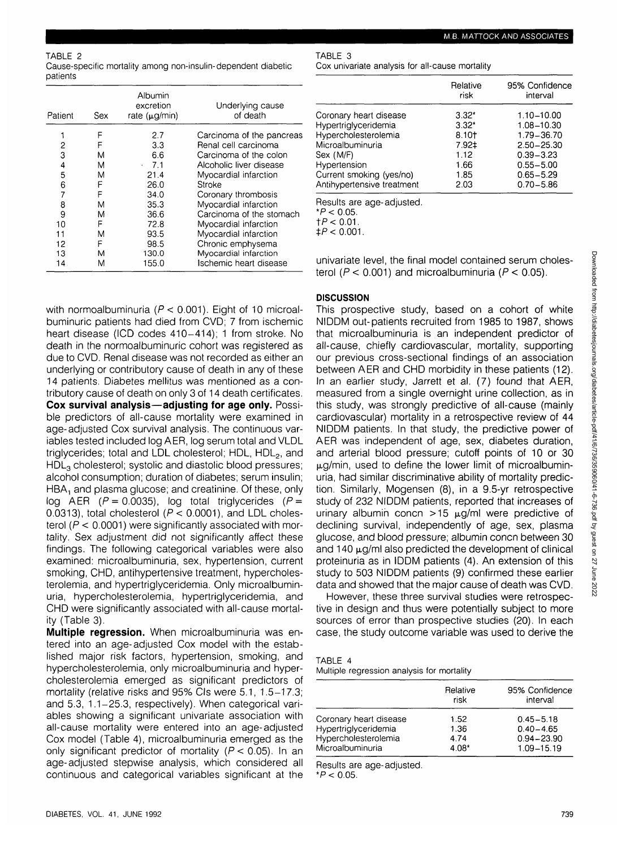Cause-specific mortality among non-insulin-dependent diabetic patients

| Patient | Sex | Albumin<br>excretion<br>rate $(\mu q/min)$ | Underlying cause<br>of death |
|---------|-----|--------------------------------------------|------------------------------|
|         | F   | 2.7                                        | Carcinoma of the pancreas    |
| 2       | F   | 3.3                                        | Renal cell carcinoma         |
| 3       | M   | 6.6                                        | Carcinoma of the colon       |
| 4       | M   | 7.1<br>$\epsilon$                          | Alcoholic liver disease      |
| 5       | M   | 21.4                                       | Myocardial infarction        |
| 6       | F   | 26.0                                       | Stroke                       |
| 7       | F   | 34.0                                       | Coronary thrombosis          |
| 8       | M   | 35.3                                       | Myocardial infarction        |
| 9       | M   | 36.6                                       | Carcinoma of the stomach     |
| 10      | F   | 72.8                                       | Myocardial infarction        |
| 11      | M   | 93.5                                       | Myocardial infarction        |
| 12      | F   | 98.5                                       | Chronic emphysema            |
| 13      | м   | 130.0                                      | Myocardial infarction        |
| 14      | M   | 155.0                                      | Ischemic heart disease       |

with normoalbuminuria ( $P < 0.001$ ). Eight of 10 microalbuminuric patients had died from CVD; 7 from ischemic heart disease (ICD codes 410-414); 1 from stroke. No death in the normoalbuminuric cohort was registered as due to CVD. Renal disease was not recorded as either an underlying or contributory cause of death in any of these 14 patients. Diabetes mellitus was mentioned as a contributory cause of death on only 3 of 14 death certificates. **Cox survival analysis—adjusting for age only.** Possible predictors of all-cause mortality were examined in age-adjusted Cox survival analysis. The continuous variables tested included log AER, log serum total and VLDL triglycerides; total and LDL cholesterol; HDL, HDL<sub>2</sub>, and  $HDL<sub>3</sub>$  cholesterol; systolic and diastolic blood pressures; alcohol consumption; duration of diabetes; serum insulin;  $HBA<sub>1</sub>$  and plasma glucose; and creatinine. Of these, only log AER ( $P = 0.0035$ ), log total triglycerides ( $P =$ 0.0313), total cholesterol ( $P < 0.0001$ ), and LDL cholesterol  $(P < 0.0001)$  were significantly associated with mortality. Sex adjustment did not significantly affect these findings. The following categorical variables were also examined: microalbuminuria, sex, hypertension, current smoking, CHD, antihypertensive treatment, hypercholesterolemia, and hypertriglyceridemia. Only microalbuminuria, hypercholesterolemia, hypertriglyceridemia, and CHD were significantly associated with all-cause mortality (Table 3).

**Multiple regression.** When microalbuminuria was entered into an age-adjusted Cox model with the established major risk factors, hypertension, smoking, and hypercholesterolemia, only microalbuminuria and hypercholesterolemia emerged as significant predictors of mortality (relative risks and 95% CIs were 5.1, 1.5-17.3; and 5.3, 1.1-25.3, respectively). When categorical variables showing a significant univariate association with all-cause mortality were entered into an age-adjusted Cox model (Table 4), microalbuminuria emerged as the only significant predictor of mortality ( $P < 0.05$ ). In an age-adjusted stepwise analysis, which considered all continuous and categorical variables significant at the

### TABLE 3

Cox univariate analysis for all-cause mortality

| $3.32*$ | 1.10-10.00     |
|---------|----------------|
| $3.32*$ | 1.08-10.30     |
| 8.10†   | 1.79-36.70     |
| 7.92‡   | $2.50 - 25.30$ |
| 1.12    | $0.39 - 3.23$  |
| 1.66    | $0.55 - 5.00$  |
| 1.85    | $0.65 - 5.29$  |
| 2.03    | $0.70 - 5.86$  |
|         |                |

Results are age-adjusted.

 $*P < 0.05$ .<br> $\uparrow P < 0.01$ .

 $\pm P < 0.001$ .

univariate level, the final model contained serum cholesterol ( $P < 0.001$ ) and microalbuminuria ( $P < 0.05$ ).

### **DISCUSSION**

This prospective study, based on a cohort of white NIDDM out-patients recruited from 1985 to 1987, shows that microalbuminuria is an independent predictor of all-cause, chiefly cardiovascular, mortality, supporting our previous cross-sectional findings of an association between AER and CHD morbidity in these patients (12). In an earlier study, Jarrett et al. (7) found that AER, measured from a single overnight urine collection, as in this study, was strongly predictive of all-cause (mainly cardiovascular) mortality in a retrospective review of 44 NIDDM patients. In that study, the predictive power of AER was independent of age, sex, diabetes duration, and arterial blood pressure; cutoff points of 10 or 30  $\mu$ g/min, used to define the lower limit of microalbuminuria, had similar discriminative ability of mortality prediction. Similarly, Mogensen (8), in a 9.5-yr retrospective study of 232 NIDDM patients, reported that increases of urinary albumin concn  $>15$   $\mu$ g/ml were predictive of declining survival, independently of age, sex, plasma glucose, and blood pressure; albumin concn between 30 and 140  $\mu$ g/ml also predicted the development of clinical proteinuria as in IDDM patients (4). An extension of this study to 503 NIDDM patients (9) confirmed these earlier data and showed that the major cause of death was CVD.

However, these three survival studies were retrospective in design and thus were potentially subject to more sources of error than prospective studies (20). In each case, the study outcome variable was used to derive the

| TABLE |  |
|-------|--|
|-------|--|

Multiple regression analysis for mortality

|                        | Relative<br>risk | 95% Confidence<br>interval |
|------------------------|------------------|----------------------------|
| Coronary heart disease | 1.52             | $0.45 - 5.18$              |
| Hypertriglyceridemia   | 1.36             | $0.40 - 4.65$              |
| Hypercholesterolemia   | 4.74             | $0.94 - 23.90$             |
| Microalbuminuria       | 4.08*            | 1.09-15.19                 |

Results are age-adjusted.

 $*P < 0.05$ .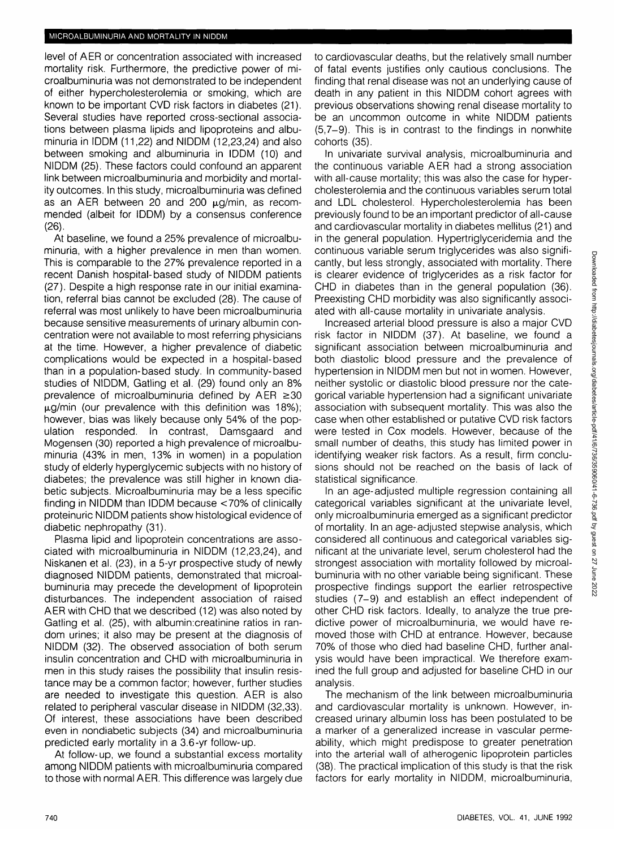level of AER or concentration associated with increased mortality risk. Furthermore, the predictive power of microalbuminuria was not demonstrated to be independent of either hypercholesterolemia or smoking, which are known to be important CVD risk factors in diabetes (21). Several studies have reported cross-sectional associations between plasma lipids and lipoproteins and albuminuria in IDDM (11,22) and NIDDM (12,23,24) and also between smoking and albuminuria in IDDM (10) and NIDDM (25). These factors could confound an apparent link between microalbuminuria and morbidity and mortality outcomes. In this study, microalbuminuria was defined as an AER between 20 and 200  $\mu$ g/min, as recommended (albeit for IDDM) by a consensus conference (26).

At baseline, we found a 25% prevalence of microalbuminuria, with a higher prevalence in men than women. This is comparable to the 27% prevalence reported in a recent Danish hospital-based study of NIDDM patients (27). Despite a high response rate in our initial examination, referral bias cannot be excluded (28). The cause of referral was most unlikely to have been microalbuminuria because sensitive measurements of urinary albumin concentration were not available to most referring physicians at the time. However, a higher prevalence of diabetic complications would be expected in a hospital-based than in a population-based study. In community-based studies of NIDDM, Gatling et al. (29) found only an 8% prevalence of microalbuminuria defined by  $AER \ge 30$  $\mu$ g/min (our prevalence with this definition was 18%); however, bias was likely because only 54% of the population responded. In contrast, Damsgaard and Mogensen (30) reported a high prevalence of microalbuminuria (43% in men, 13% in women) in a population study of elderly hyperglycemic subjects with no history of diabetes; the prevalence was still higher in known diabetic subjects. Microalbuminuria may be a less specific finding in NIDDM than IDDM because <70% of clinically proteinuric NIDDM patients show histological evidence of diabetic nephropathy (31).

Plasma lipid and lipoprotein concentrations are associated with microalbuminuria in NIDDM (12,23,24), and Niskanen et al. (23), in a 5-yr prospective study of newly diagnosed NIDDM patients, demonstrated that microalbuminuria may precede the development of lipoprotein disturbances. The independent association of raised AER with CHD that we described (12) was also noted by Gatling et al. (25), with albumin:creatinine ratios in random urines; it also may be present at the diagnosis of NIDDM (32). The observed association of both serum insulin concentration and CHD with microalbuminuria in men in this study raises the possibility that insulin resistance may be a common factor; however, further studies are needed to investigate this question. AER is also related to peripheral vascular disease in NIDDM (32,33). Of interest, these associations have been described even in nondiabetic subjects (34) and microalbuminuria predicted early mortality in a 3.6-yr follow-up.

At follow-up, we found a substantial excess mortality among NIDDM patients with microalbuminuria compared to those with normal AER. This difference was largely due

to cardiovascular deaths, but the relatively small number of fatal events justifies only cautious conclusions. The finding that renal disease was not an underlying cause of death in any patient in this NIDDM cohort agrees with previous observations showing renal disease mortality to be an uncommon outcome in white NIDDM patients (5,7-9). This is in contrast to the findings in nonwhite cohorts (35).

In univariate survival analysis, microalbuminuria and the continuous variable AER had a strong association with all-cause mortality; this was also the case for hypercholesterolemia and the continuous variables serum total and LDL cholesterol. Hypercholesterolemia has been previously found to be an important predictor of all-cause and cardiovascular mortality in diabetes mellitus (21) and in the general population. Hypertriglyceridemia and the continuous variable serum triglycerides was also significantly, but less strongly, associated with mortality. There is clearer evidence of triglycerides as a risk factor for CHD in diabetes than in the general population (36). Preexisting CHD morbidity was also significantly associated with all-cause mortality in univariate analysis.

Increased arterial blood pressure is also a major CVD risk factor in NIDDM (37). At baseline, we found a significant association between microalbuminuria and both diastolic blood pressure and the prevalence of hypertension in NIDDM men but not in women. However, neither systolic or diastolic blood pressure nor the categorical variable hypertension had a significant univariate association with subsequent mortality. This was also the case when other established or putative CVD risk factors were tested in Cox models. However, because of the small number of deaths, this study has limited power in identifying weaker risk factors. As a result, firm conclusions should not be reached on the basis of lack of statistical significance.

In an age-adjusted multiple regression containing all categorical variables significant at the univariate level, only microalbuminuria emerged as a significant predictor of mortality. In an age-adjusted stepwise analysis, which considered all continuous and categorical variables significant at the univariate level, serum cholesterol had the strongest association with mortality followed by microalbuminuria with no other variable being significant. These prospective findings support the earlier retrospective studies (7-9) and establish an effect independent of other CHD risk factors. Ideally, to analyze the true predictive power of microalbuminuria, we would have removed those with CHD at entrance. However, because 70% of those who died had baseline CHD, further analysis would have been impractical. We therefore examined the full group and adjusted for baseline CHD in our analysis.

The mechanism of the link between microalbuminuria and cardiovascular mortality is unknown. However, increased urinary albumin loss has been postulated to be a marker of a generalized increase in vascular permeability, which might predispose to greater penetration into the arterial wall of atherogenic lipoprotein particles (38). The practical implication of this study is that the risk factors for early mortality in NIDDM, microalbuminuria,